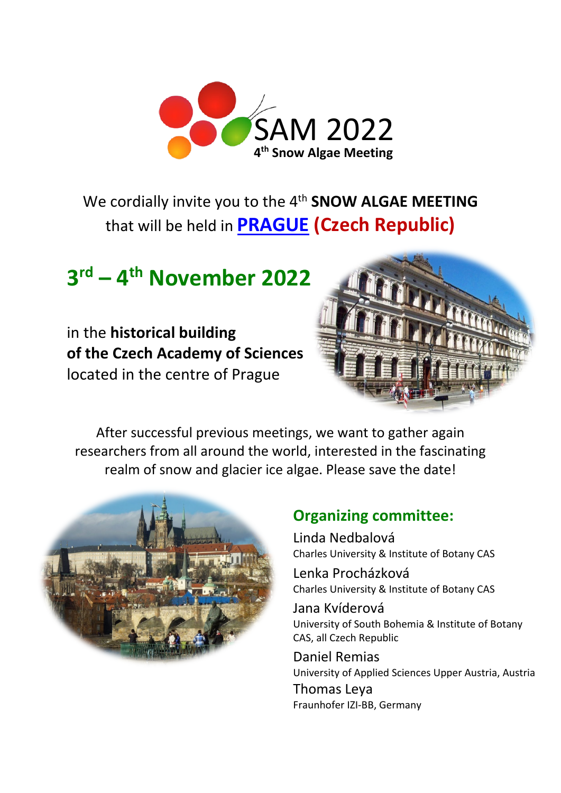

We cordially invite you to the 4<sup>th</sup> **SNOW ALGAE MEETING** that will be held in **[PRAGUE](https://www.prague.eu/en) (Czech Republic)**

# **3rd – 4th November 2022**

in the **historical building of the Czech Academy of Sciences** located in the centre of Prague



After successful previous meetings, we want to gather again researchers from all around the world, interested in the fascinating realm of snow and glacier ice algae. Please save the date!



## **Organizing committee:**

Linda Nedbalová Charles University & Institute of Botany CAS

Lenka Procházková Charles University & Institute of Botany CAS

Jana Kvíderová University of South Bohemia & Institute of Botany CAS, all Czech Republic

Daniel Remias University of Applied Sciences Upper Austria, Austria Thomas Leya Fraunhofer IZI-BB, Germany